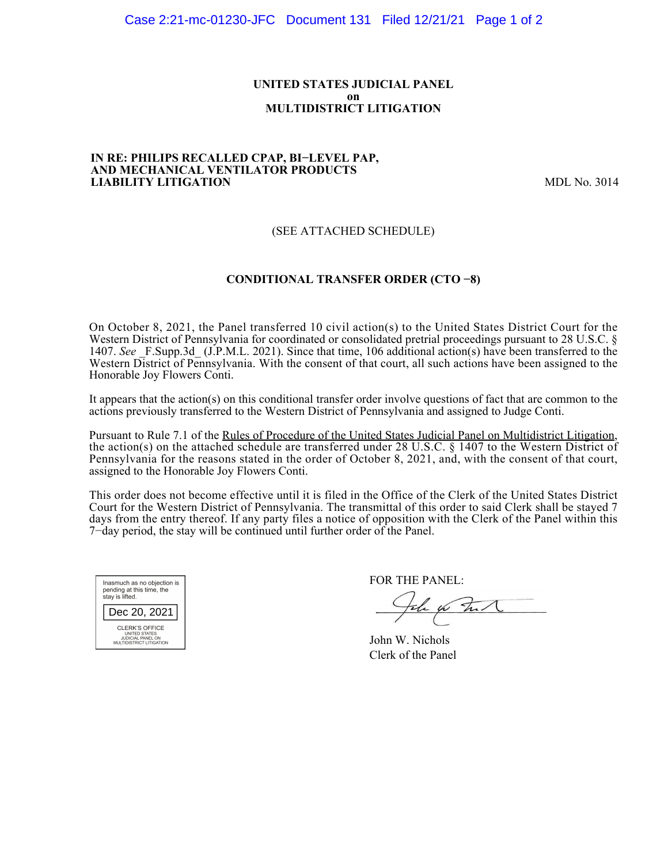### **UNITED STATES JUDICIAL PANEL on MULTIDISTRICT LITIGATION**

#### **IN RE: PHILIPS RECALLED CPAP, BI−LEVEL PAP, AND MECHANICAL VENTILATOR PRODUCTS LIABILITY LITIGATION** MDL No. 3014

## (SEE ATTACHED SCHEDULE)

### **CONDITIONAL TRANSFER ORDER (CTO −8)**

On October 8, 2021, the Panel transferred 10 civil action(s) to the United States District Court for the Western District of Pennsylvania for coordinated or consolidated pretrial proceedings pursuant to 28 U.S.C. § 1407. See F.Supp.3d (J.P.M.L. 2021). Since that time, 106 additional action(s) have been transferred to the Western District of Pennsylvania. With the consent of that court, all such actions have been assigned to the Honorable Joy Flowers Conti.

It appears that the action(s) on this conditional transfer order involve questions of fact that are common to the actions previously transferred to the Western District of Pennsylvania and assigned to Judge Conti.

Pursuant to Rule 7.1 of the Rules of Procedure of the United States Judicial Panel on Multidistrict Litigation, the action(s) on the attached schedule are transferred under 28 U.S.C. § 1407 to the Western District of Pennsylvania for the reasons stated in the order of October 8, 2021, and, with the consent of that court, assigned to the Honorable Joy Flowers Conti.

This order does not become effective until it is filed in the Office of the Clerk of the United States District Court for the Western District of Pennsylvania. The transmittal of this order to said Clerk shall be stayed 7 days from the entry thereof. If any party files a notice of opposition with the Clerk of the Panel within this 7−day period, the stay will be continued until further order of the Panel.



FOR THE PANEL:

the whit

John W. Nichols Clerk of the Panel